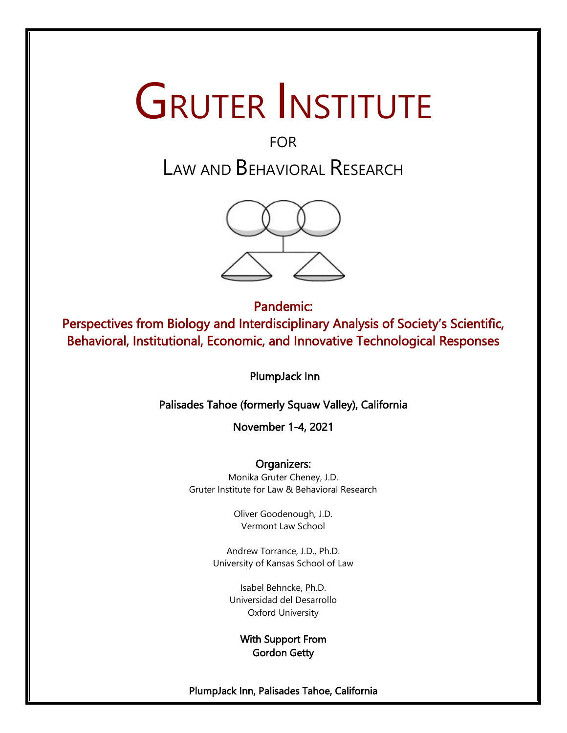# GRUTER INSTITUTE

# FOR LAW AND BEHAVIORAL RESEARCH



Pandemic: Perspectives from Biology and Interdisciplinary Analysis of Society's Scientific, Behavioral, Institutional, Economic, and Innovative Technological Responses

PlumpJack Inn

Palisades Tahoe (formerly Squaw Valley), California

November 1-4, 2021

Organizers: Monika Gruter Cheney, J.D. Gruter Institute for Law & Behavioral Research

> Oliver Goodenough, J.D. Vermont Law School

Andrew Torrance, J.D., Ph.D. University of Kansas School of Law

> Isabel Behncke, Ph.D. [Universidad del Desarrollo](about:blank) Oxford University

> > With Support From Gordon Getty

PlumpJack Inn, Palisades Tahoe, California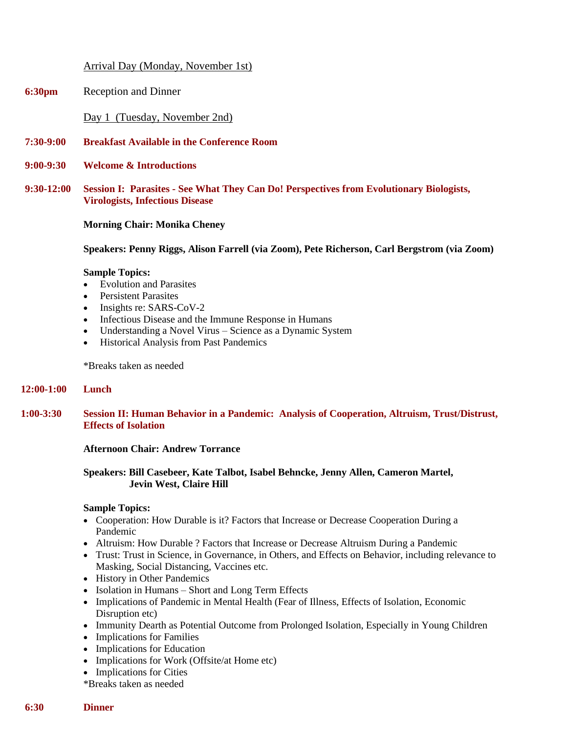# Arrival Day (Monday, November 1st)

**6:30pm** Reception and Dinner

Day 1 (Tuesday, November 2nd)

- **7:30-9:00 Breakfast Available in the Conference Room**
- **9:00-9:30 Welcome & Introductions**
- **9:30-12:00 Session I: Parasites - See What They Can Do! Perspectives from Evolutionary Biologists, Virologists, Infectious Disease**

#### **Morning Chair: Monika Cheney**

**Speakers: Penny Riggs, Alison Farrell (via Zoom), Pete Richerson, Carl Bergstrom (via Zoom)**

#### **Sample Topics:**

- Evolution and Parasites
- Persistent Parasites
- Insights re: SARS-CoV-2
- Infectious Disease and the Immune Response in Humans
- Understanding a Novel Virus Science as a Dynamic System
- Historical Analysis from Past Pandemics

\*Breaks taken as needed

#### **12:00-1:00 Lunch**

**1:00-3:30 Session II: Human Behavior in a Pandemic: Analysis of Cooperation, Altruism, Trust/Distrust, Effects of Isolation**

#### **Afternoon Chair: Andrew Torrance**

# **Speakers: Bill Casebeer, Kate Talbot, Isabel Behncke, Jenny Allen, Cameron Martel, Jevin West, Claire Hill**

#### **Sample Topics:**

- Cooperation: How Durable is it? Factors that Increase or Decrease Cooperation During a Pandemic
- Altruism: How Durable ? Factors that Increase or Decrease Altruism During a Pandemic
- Trust: Trust in Science, in Governance, in Others, and Effects on Behavior, including relevance to Masking, Social Distancing, Vaccines etc.
- History in Other Pandemics
- Isolation in Humans Short and Long Term Effects
- Implications of Pandemic in Mental Health (Fear of Illness, Effects of Isolation, Economic Disruption etc)
- Immunity Dearth as Potential Outcome from Prolonged Isolation, Especially in Young Children
- Implications for Families
- Implications for Education
- Implications for Work (Offsite/at Home etc)
- Implications for Cities
- \*Breaks taken as needed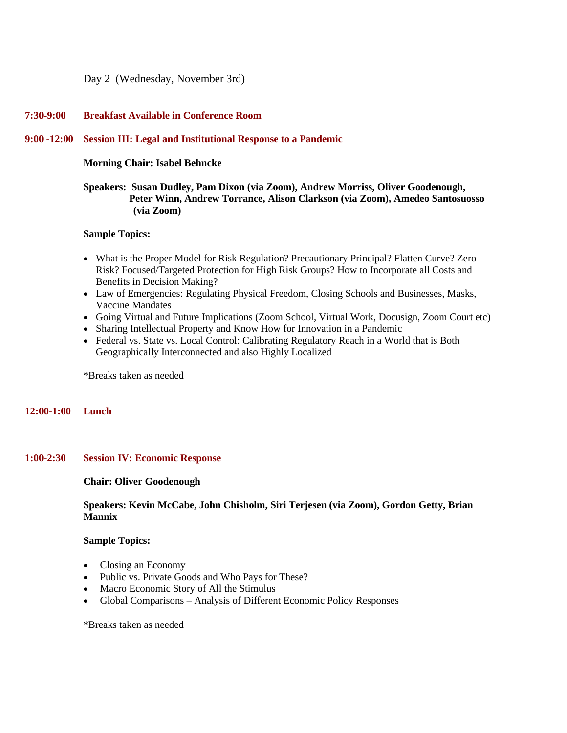# Day 2 (Wednesday, November 3rd)

# **7:30-9:00 Breakfast Available in Conference Room**

#### **9:00 -12:00 Session III: Legal and Institutional Response to a Pandemic**

#### **Morning Chair: Isabel Behncke**

# **Speakers: Susan Dudley, Pam Dixon (via Zoom), Andrew Morriss, Oliver Goodenough, Peter Winn, Andrew Torrance, Alison Clarkson (via Zoom), Amedeo Santosuosso (via Zoom)**

#### **Sample Topics:**

- What is the Proper Model for Risk Regulation? Precautionary Principal? Flatten Curve? Zero Risk? Focused/Targeted Protection for High Risk Groups? How to Incorporate all Costs and Benefits in Decision Making?
- Law of Emergencies: Regulating Physical Freedom, Closing Schools and Businesses, Masks, Vaccine Mandates
- Going Virtual and Future Implications (Zoom School, Virtual Work, Docusign, Zoom Court etc)
- Sharing Intellectual Property and Know How for Innovation in a Pandemic
- Federal vs. State vs. Local Control: Calibrating Regulatory Reach in a World that is Both Geographically Interconnected and also Highly Localized

\*Breaks taken as needed

# **12:00-1:00 Lunch**

# **1:00-2:30 Session IV: Economic Response**

#### **Chair: Oliver Goodenough**

# **Speakers: Kevin McCabe, John Chisholm, Siri Terjesen (via Zoom), Gordon Getty, Brian Mannix**

#### **Sample Topics:**

- Closing an Economy
- Public vs. Private Goods and Who Pays for These?
- Macro Economic Story of All the Stimulus
- Global Comparisons Analysis of Different Economic Policy Responses

\*Breaks taken as needed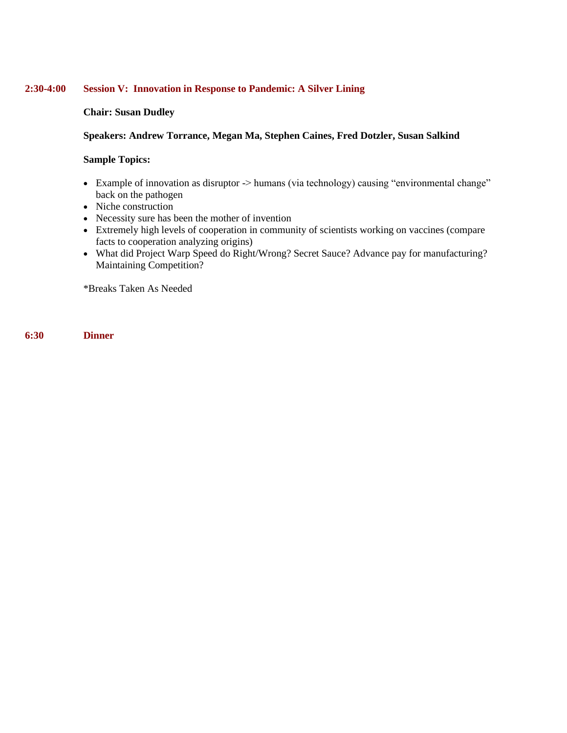# **2:30-4:00 Session V: Innovation in Response to Pandemic: A Silver Lining**

# **Chair: Susan Dudley**

# **Speakers: Andrew Torrance, Megan Ma, Stephen Caines, Fred Dotzler, Susan Salkind**

# **Sample Topics:**

- Example of innovation as disruptor -> humans (via technology) causing "environmental change" back on the pathogen
- Niche construction
- Necessity sure has been the mother of invention
- Extremely high levels of cooperation in community of scientists working on vaccines (compare facts to cooperation analyzing origins)
- What did Project Warp Speed do Right/Wrong? Secret Sauce? Advance pay for manufacturing? Maintaining Competition?

\*Breaks Taken As Needed

**6:30 Dinner**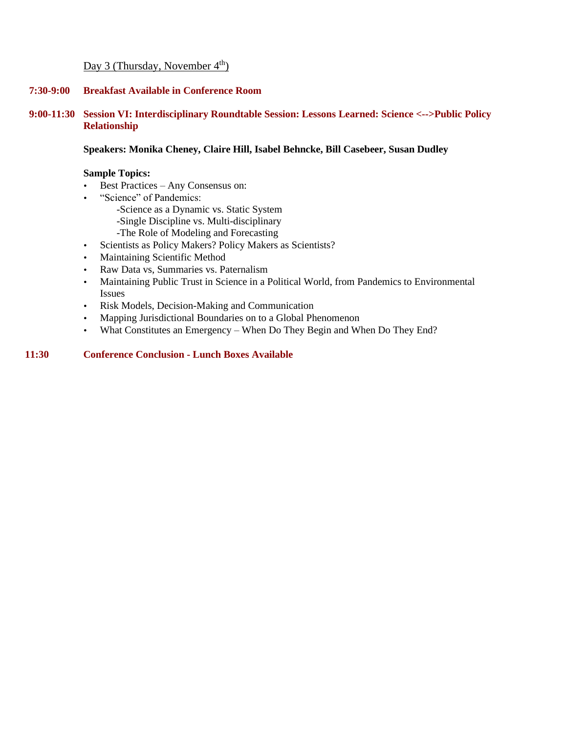# Day 3 (Thursday, November  $4<sup>th</sup>$ )

# **7:30-9:00 Breakfast Available in Conference Room**

# **9:00-11:30 Session VI: Interdisciplinary Roundtable Session: Lessons Learned: Science <-->Public Policy Relationship**

# **Speakers: Monika Cheney, Claire Hill, Isabel Behncke, Bill Casebeer, Susan Dudley**

# **Sample Topics:**

- Best Practices Any Consensus on:
- "Science" of Pandemics:
	- -Science as a Dynamic vs. Static System
	- -Single Discipline vs. Multi-disciplinary
	- -The Role of Modeling and Forecasting
- Scientists as Policy Makers? Policy Makers as Scientists?
- Maintaining Scientific Method
- Raw Data vs, Summaries vs. Paternalism
- Maintaining Public Trust in Science in a Political World, from Pandemics to Environmental Issues
- Risk Models, Decision-Making and Communication
- Mapping Jurisdictional Boundaries on to a Global Phenomenon
- What Constitutes an Emergency When Do They Begin and When Do They End?

# **11:30 Conference Conclusion - Lunch Boxes Available**